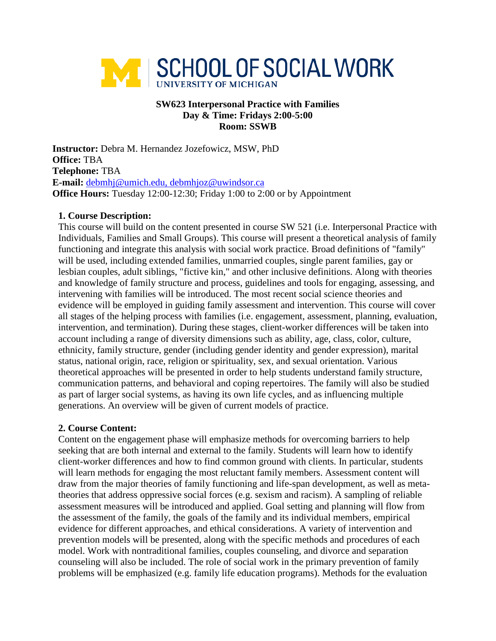

## **SW623 Interpersonal Practice with Families Day & Time: Fridays 2:00-5:00 Room: SSWB**

**Instructor:** Debra M. Hernandez Jozefowicz, MSW, PhD **Office:** TBA **Telephone:** TBA **E-mail:** [debmhj@umich.edu,](mailto:debmhj@umich.edu) debmhjoz@uwindsor.ca **Office Hours:** Tuesday 12:00-12:30; Friday 1:00 to 2:00 or by Appointment

## **1. Course Description:**

This course will build on the content presented in course SW 521 (i.e. Interpersonal Practice with Individuals, Families and Small Groups). This course will present a theoretical analysis of family functioning and integrate this analysis with social work practice. Broad definitions of "family" will be used, including extended families, unmarried couples, single parent families, gay or lesbian couples, adult siblings, "fictive kin," and other inclusive definitions. Along with theories and knowledge of family structure and process, guidelines and tools for engaging, assessing, and intervening with families will be introduced. The most recent social science theories and evidence will be employed in guiding family assessment and intervention. This course will cover all stages of the helping process with families (i.e. engagement, assessment, planning, evaluation, intervention, and termination). During these stages, client-worker differences will be taken into account including a range of diversity dimensions such as ability, age, class, color, culture, ethnicity, family structure, gender (including gender identity and gender expression), marital status, national origin, race, religion or spirituality, sex, and sexual orientation. Various theoretical approaches will be presented in order to help students understand family structure, communication patterns, and behavioral and coping repertoires. The family will also be studied as part of larger social systems, as having its own life cycles, and as influencing multiple generations. An overview will be given of current models of practice.

# **2. Course Content:**

Content on the engagement phase will emphasize methods for overcoming barriers to help seeking that are both internal and external to the family. Students will learn how to identify client-worker differences and how to find common ground with clients. In particular, students will learn methods for engaging the most reluctant family members. Assessment content will draw from the major theories of family functioning and life-span development, as well as metatheories that address oppressive social forces (e.g. sexism and racism). A sampling of reliable assessment measures will be introduced and applied. Goal setting and planning will flow from the assessment of the family, the goals of the family and its individual members, empirical evidence for different approaches, and ethical considerations. A variety of intervention and prevention models will be presented, along with the specific methods and procedures of each model. Work with nontraditional families, couples counseling, and divorce and separation counseling will also be included. The role of social work in the primary prevention of family problems will be emphasized (e.g. family life education programs). Methods for the evaluation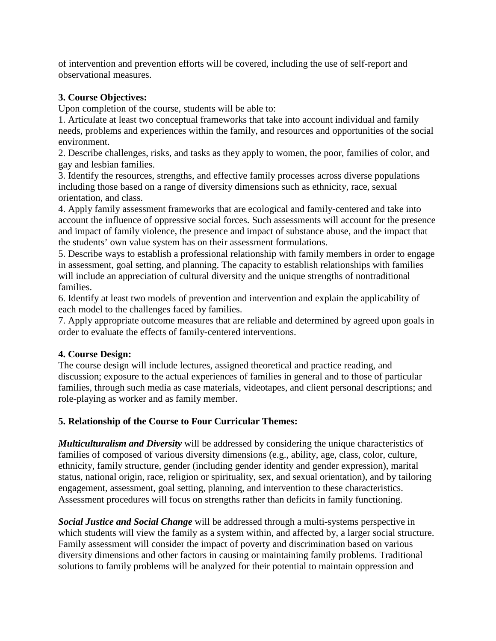of intervention and prevention efforts will be covered, including the use of self-report and observational measures.

# **3. Course Objectives:**

Upon completion of the course, students will be able to:

1. Articulate at least two conceptual frameworks that take into account individual and family needs, problems and experiences within the family, and resources and opportunities of the social environment.

2. Describe challenges, risks, and tasks as they apply to women, the poor, families of color, and gay and lesbian families.

3. Identify the resources, strengths, and effective family processes across diverse populations including those based on a range of diversity dimensions such as ethnicity, race, sexual orientation, and class.

4. Apply family assessment frameworks that are ecological and family-centered and take into account the influence of oppressive social forces. Such assessments will account for the presence and impact of family violence, the presence and impact of substance abuse, and the impact that the students' own value system has on their assessment formulations.

5. Describe ways to establish a professional relationship with family members in order to engage in assessment, goal setting, and planning. The capacity to establish relationships with families will include an appreciation of cultural diversity and the unique strengths of nontraditional families.

6. Identify at least two models of prevention and intervention and explain the applicability of each model to the challenges faced by families.

7. Apply appropriate outcome measures that are reliable and determined by agreed upon goals in order to evaluate the effects of family-centered interventions.

# **4. Course Design:**

The course design will include lectures, assigned theoretical and practice reading, and discussion; exposure to the actual experiences of families in general and to those of particular families, through such media as case materials, videotapes, and client personal descriptions; and role-playing as worker and as family member.

# **5. Relationship of the Course to Four Curricular Themes:**

*Multiculturalism and Diversity* will be addressed by considering the unique characteristics of families of composed of various diversity dimensions (e.g., ability, age, class, color, culture, ethnicity, family structure, gender (including gender identity and gender expression), marital status, national origin, race, religion or spirituality, sex, and sexual orientation), and by tailoring engagement, assessment, goal setting, planning, and intervention to these characteristics. Assessment procedures will focus on strengths rather than deficits in family functioning.

*Social Justice and Social Change* will be addressed through a multi-systems perspective in which students will view the family as a system within, and affected by, a larger social structure. Family assessment will consider the impact of poverty and discrimination based on various diversity dimensions and other factors in causing or maintaining family problems. Traditional solutions to family problems will be analyzed for their potential to maintain oppression and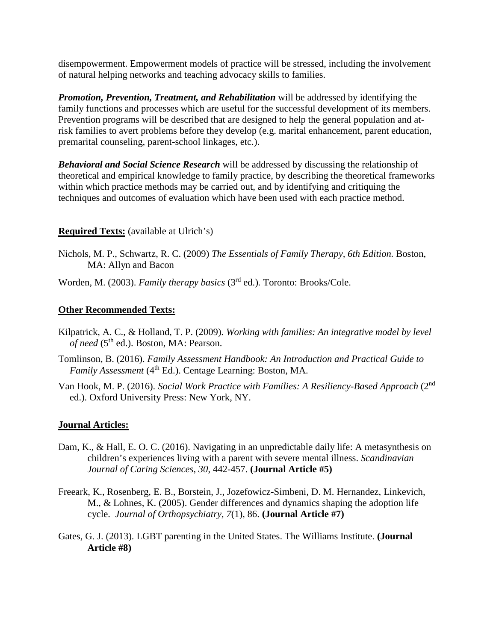disempowerment. Empowerment models of practice will be stressed, including the involvement of natural helping networks and teaching advocacy skills to families.

*Promotion, Prevention, Treatment, and Rehabilitation* will be addressed by identifying the family functions and processes which are useful for the successful development of its members. Prevention programs will be described that are designed to help the general population and atrisk families to avert problems before they develop (e.g. marital enhancement, parent education, premarital counseling, parent-school linkages, etc.).

*Behavioral and Social Science Research* will be addressed by discussing the relationship of theoretical and empirical knowledge to family practice, by describing the theoretical frameworks within which practice methods may be carried out, and by identifying and critiquing the techniques and outcomes of evaluation which have been used with each practice method.

# **Required Texts:** (available at Ulrich's)

Nichols, M. P., Schwartz, R. C. (2009) *The Essentials of Family Therapy, 6th Edition.* Boston, MA: Allyn and Bacon

Worden, M. (2003). *Family therapy basics* (3<sup>rd</sup> ed.). Toronto: Brooks/Cole.

## **Other Recommended Texts:**

- Kilpatrick, A. C., & Holland, T. P. (2009). *Working with families: An integrative model by level of need* (5th ed.). Boston, MA: Pearson.
- Tomlinson, B. (2016). *Family Assessment Handbook: An Introduction and Practical Guide to Family Assessment* (4<sup>th</sup> Ed.). Centage Learning: Boston, MA.
- Van Hook, M. P. (2016). *Social Work Practice with Families: A Resiliency-Based Approach* (2nd ed.). Oxford University Press: New York, NY.

#### **Journal Articles:**

- Dam, K., & Hall, E. O. C. (2016). Navigating in an unpredictable daily life: A metasynthesis on children's experiences living with a parent with severe mental illness. *Scandinavian Journal of Caring Sciences, 30*, 442-457. **(Journal Article #5)**
- Freeark, K., Rosenberg, E. B., Borstein, J., Jozefowicz-Simbeni, D. M. Hernandez, Linkevich, M., & Lohnes, K. (2005). Gender differences and dynamics shaping the adoption life cycle. *Journal of Orthopsychiatry, 7*(1), 86. **(Journal Article #7)**
- Gates, G. J. (2013). LGBT parenting in the United States. The Williams Institute. **(Journal Article #8)**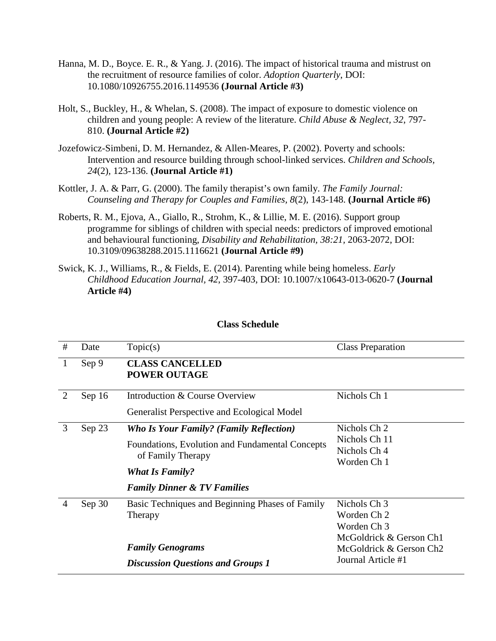- Hanna, M. D., Boyce. E. R., & Yang. J. (2016). The impact of historical trauma and mistrust on the recruitment of resource families of color. *Adoption Quarterly*, DOI: 10.1080/10926755.2016.1149536 **(Journal Article #3)**
- Holt, S., Buckley, H., & Whelan, S. (2008). The impact of exposure to domestic violence on children and young people: A review of the literature. *Child Abuse & Neglect, 32*, 797- 810. **(Journal Article #2)**
- Jozefowicz-Simbeni, D. M. Hernandez, & Allen-Meares, P. (2002). Poverty and schools: Intervention and resource building through school-linked services. *Children and Schools, 24*(2)*,* 123-136. **(Journal Article #1)**
- Kottler, J. A. & Parr, G. (2000). The family therapist's own family. *The Family Journal: Counseling and Therapy for Couples and Families, 8*(2), 143-148. **(Journal Article #6)**
- Roberts, R. M., Ejova, A., Giallo, R., Strohm, K., & Lillie, M. E. (2016). Support group programme for siblings of children with special needs: predictors of improved emotional and behavioural functioning, *Disability and Rehabilitation, 38:21,* 2063-2072, DOI: 10.3109/09638288.2015.1116621 **(Journal Article #9)**
- Swick, K. J., Williams, R., & Fields, E. (2014). Parenting while being homeless. *Early Childhood Education Journal, 42*, 397-403, DOI: 10.1007/x10643-013-0620-7 **(Journal Article #4)**

| #              | Date   | Topic(s)                                        | <b>Class Preparation</b>            |
|----------------|--------|-------------------------------------------------|-------------------------------------|
| $\mathbf{1}$   | Sep 9  | <b>CLASS CANCELLED</b><br><b>POWER OUTAGE</b>   |                                     |
| $\overline{2}$ | Sep 16 | Introduction & Course Overview                  | Nichols Ch 1                        |
|                |        | Generalist Perspective and Ecological Model     |                                     |
| 3              | Sep 23 | <b>Who Is Your Family? (Family Reflection)</b>  | Nichols Ch 2                        |
|                |        | Foundations, Evolution and Fundamental Concepts | Nichols Ch 11                       |
|                |        | of Family Therapy                               | Nichols Ch 4                        |
|                |        |                                                 | Worden Ch 1                         |
|                |        | <b>What Is Family?</b>                          |                                     |
|                |        | <b>Family Dinner &amp; TV Families</b>          |                                     |
| 4              | Sep 30 | Basic Techniques and Beginning Phases of Family | Nichols Ch 3                        |
|                |        | Therapy                                         | Worden Ch 2                         |
|                |        |                                                 | Worden Ch 3                         |
|                |        |                                                 | McGoldrick & Gerson Ch1             |
|                |        | <b>Family Genograms</b>                         | McGoldrick & Gerson Ch <sub>2</sub> |
|                |        | <b>Discussion Questions and Groups 1</b>        | Journal Article #1                  |

#### **Class Schedule**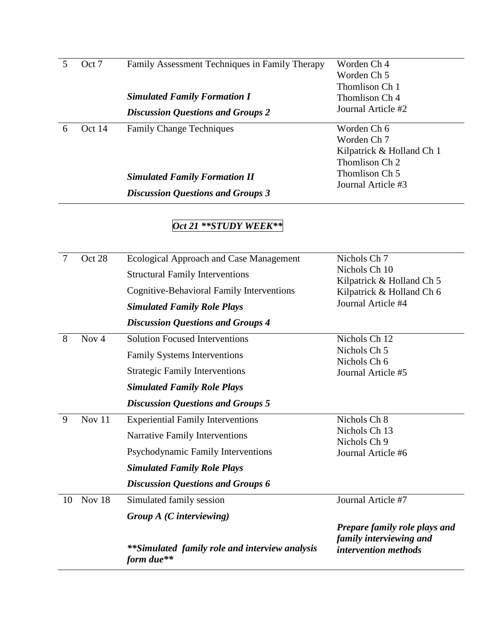|   | Oct 7  | Family Assessment Techniques in Family Therapy | Worden Ch 4               |
|---|--------|------------------------------------------------|---------------------------|
|   |        |                                                | Worden Ch 5               |
|   |        |                                                | Thomlison Ch 1            |
|   |        | <b>Simulated Family Formation I</b>            | Thomlison Ch 4            |
|   |        | <b>Discussion Questions and Groups 2</b>       | Journal Article #2        |
| 6 | Oct 14 | <b>Family Change Techniques</b>                | Worden Ch 6               |
|   |        |                                                | Worden Ch 7               |
|   |        |                                                | Kilpatrick & Holland Ch 1 |
|   |        |                                                | Thomlison Ch 2            |
|   |        | <b>Simulated Family Formation II</b>           | Thomlison Ch 5            |
|   |        |                                                | Journal Article #3        |

*Discussion Questions and Groups 3*

# *Oct 21 \*\*STUDY WEEK\*\**

| 7  | Oct 28  | <b>Ecological Approach and Case Management</b>               | Nichols Ch 7                                           |
|----|---------|--------------------------------------------------------------|--------------------------------------------------------|
|    |         | <b>Structural Family Interventions</b>                       | Nichols Ch 10                                          |
|    |         | Cognitive-Behavioral Family Interventions                    | Kilpatrick & Holland Ch 5<br>Kilpatrick & Holland Ch 6 |
|    |         | <b>Simulated Family Role Plays</b>                           | Journal Article #4                                     |
|    |         | <b>Discussion Questions and Groups 4</b>                     |                                                        |
| 8  | Nov $4$ | <b>Solution Focused Interventions</b>                        | Nichols Ch 12                                          |
|    |         | <b>Family Systems Interventions</b>                          | Nichols Ch 5                                           |
|    |         | <b>Strategic Family Interventions</b>                        | Nichols Ch 6<br>Journal Article #5                     |
|    |         | <b>Simulated Family Role Plays</b>                           |                                                        |
|    |         | <b>Discussion Questions and Groups 5</b>                     |                                                        |
| 9  | Nov 11  | <b>Experiential Family Interventions</b>                     | Nichols Ch 8                                           |
|    |         | Narrative Family Interventions                               | Nichols Ch 13<br>Nichols Ch 9                          |
|    |         | Psychodynamic Family Interventions                           | Journal Article #6                                     |
|    |         | <b>Simulated Family Role Plays</b>                           |                                                        |
|    |         | <b>Discussion Questions and Groups 6</b>                     |                                                        |
| 10 | Nov 18  | Simulated family session                                     | Journal Article #7                                     |
|    |         | Group $A$ ( <i>C</i> interviewing)                           |                                                        |
|    |         |                                                              | <b>Prepare family role plays and</b>                   |
|    |         | **Simulated family role and interview analysis<br>form due** | family interviewing and<br><i>intervention methods</i> |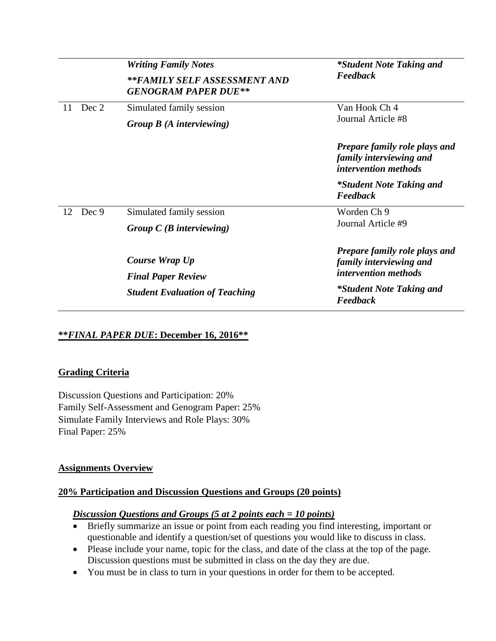|             | <b>Writing Family Notes</b><br>**FAMILY SELF ASSESSMENT AND<br><b>GENOGRAM PAPER DUE**</b> | *Student Note Taking and<br>Feedback                                                           |
|-------------|--------------------------------------------------------------------------------------------|------------------------------------------------------------------------------------------------|
|             |                                                                                            |                                                                                                |
| Dec 2<br>11 | Simulated family session                                                                   | Van Hook Ch 4                                                                                  |
|             | Group $B(A$ interviewing)                                                                  | Journal Article #8                                                                             |
|             |                                                                                            | <b>Prepare family role plays and</b><br>family interviewing and<br><i>intervention methods</i> |
|             |                                                                                            | *Student Note Taking and<br>Feedback                                                           |
| Dec 9<br>12 | Simulated family session                                                                   | Worden Ch 9<br>Journal Article #9                                                              |
|             | Group $C(B$ interviewing)                                                                  |                                                                                                |
|             | Course Wrap Up<br><b>Final Paper Review</b>                                                | <b>Prepare family role plays and</b><br>family interviewing and<br><i>intervention methods</i> |
|             | <b>Student Evaluation of Teaching</b>                                                      | *Student Note Taking and<br>Feedback                                                           |

# **\*\****FINAL PAPER DUE***: December 16, 2016\*\***

#### **Grading Criteria**

Discussion Questions and Participation: 20% Family Self-Assessment and Genogram Paper: 25% Simulate Family Interviews and Role Plays: 30% Final Paper: 25%

#### **Assignments Overview**

#### **20% Participation and Discussion Questions and Groups (20 points)**

#### *Discussion Questions and Groups (5 at 2 points each = 10 points)*

- Briefly summarize an issue or point from each reading you find interesting, important or questionable and identify a question/set of questions you would like to discuss in class.
- Please include your name, topic for the class, and date of the class at the top of the page. Discussion questions must be submitted in class on the day they are due.
- You must be in class to turn in your questions in order for them to be accepted.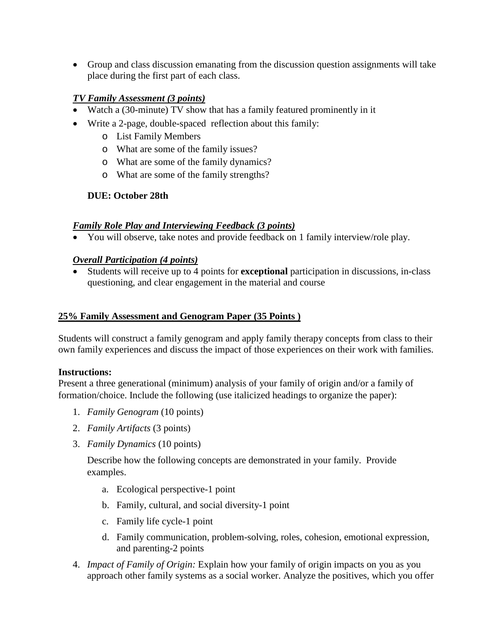• Group and class discussion emanating from the discussion question assignments will take place during the first part of each class.

# *TV Family Assessment (3 points)*

- Watch a (30-minute) TV show that has a family featured prominently in it
- Write a 2-page, double-spaced reflection about this family:
	- o List Family Members
	- o What are some of the family issues?
	- o What are some of the family dynamics?
	- o What are some of the family strengths?

# **DUE: October 28th**

# *Family Role Play and Interviewing Feedback (3 points)*

• You will observe, take notes and provide feedback on 1 family interview/role play.

# *Overall Participation (4 points)*

• Students will receive up to 4 points for **exceptional** participation in discussions, in-class questioning, and clear engagement in the material and course

# **25% Family Assessment and Genogram Paper (35 Points )**

Students will construct a family genogram and apply family therapy concepts from class to their own family experiences and discuss the impact of those experiences on their work with families.

# **Instructions:**

Present a three generational (minimum) analysis of your family of origin and/or a family of formation/choice. Include the following (use italicized headings to organize the paper):

- 1. *Family Genogram* (10 points)
- 2. *Family Artifacts* (3 points)
- 3. *Family Dynamics* (10 points)

Describe how the following concepts are demonstrated in your family. Provide examples.

- a. Ecological perspective-1 point
- b. Family, cultural, and social diversity-1 point
- c. Family life cycle-1 point
- d. Family communication, problem-solving, roles, cohesion, emotional expression, and parenting-2 points
- 4. *Impact of Family of Origin:* Explain how your family of origin impacts on you as you approach other family systems as a social worker. Analyze the positives, which you offer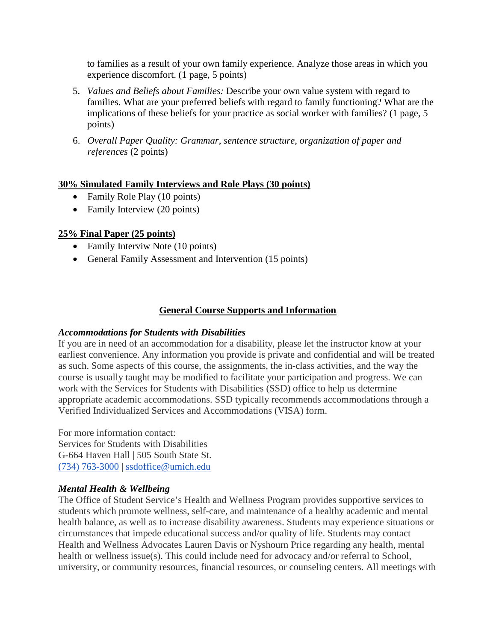to families as a result of your own family experience. Analyze those areas in which you experience discomfort. (1 page, 5 points)

- 5. *Values and Beliefs about Families:* Describe your own value system with regard to families. What are your preferred beliefs with regard to family functioning? What are the implications of these beliefs for your practice as social worker with families? (1 page, 5 points)
- 6. *Overall Paper Quality: Grammar, sentence structure, organization of paper and references* (2 points)

# **30% Simulated Family Interviews and Role Plays (30 points)**

- Family Role Play (10 points)
- Family Interview (20 points)

# **25% Final Paper (25 points)**

- Family Interviw Note (10 points)
- General Family Assessment and Intervention (15 points)

# **General Course Supports and Information**

#### *Accommodations for Students with Disabilities*

If you are in need of an accommodation for a disability, please let the instructor know at your earliest convenience. Any information you provide is private and confidential and will be treated as such. Some aspects of this course, the assignments, the in-class activities, and the way the course is usually taught may be modified to facilitate your participation and progress. We can work with the Services for Students with Disabilities (SSD) office to help us determine appropriate academic accommodations. SSD typically recommends accommodations through a Verified Individualized Services and Accommodations (VISA) form.

For more information contact: Services for Students with Disabilities G-664 Haven Hall | 505 South State St. [\(734\) 763-3000](tel:%28734%29%20763-3000) | [ssdoffice@umich.edu](mailto:ssdoffice@umich.edu)

# *Mental Health & Wellbeing*

The Office of Student Service's Health and Wellness Program provides supportive services to students which promote wellness, self-care, and maintenance of a healthy academic and mental health balance, as well as to increase disability awareness. Students may experience situations or circumstances that impede educational success and/or quality of life. Students may contact Health and Wellness Advocates Lauren Davis or Nyshourn Price regarding any health, mental health or wellness issue(s). This could include need for advocacy and/or referral to School, university, or community resources, financial resources, or counseling centers. All meetings with